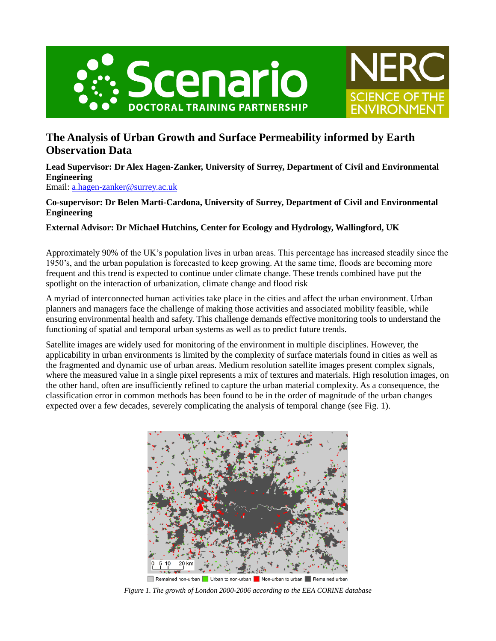



## **The Analysis of Urban Growth and Surface Permeability informed by Earth Observation Data**

**Lead Supervisor: Dr Alex Hagen-Zanker, University of Surrey, Department of Civil and Environmental Engineering** Email: [a.hagen-zanker@surrey.ac.uk](mailto:a.hagen-zanker@surrey.ac.uk)

**Co-supervisor: Dr Belen Marti-Cardona, University of Surrey, Department of Civil and Environmental Engineering**

## **External Advisor: Dr Michael Hutchins, Center for Ecology and Hydrology, Wallingford, UK**

Approximately 90% of the UK's population lives in urban areas. This percentage has increased steadily since the 1950's, and the urban population is forecasted to keep growing. At the same time, floods are becoming more frequent and this trend is expected to continue under climate change. These trends combined have put the spotlight on the interaction of urbanization, climate change and flood risk

A myriad of interconnected human activities take place in the cities and affect the urban environment. Urban planners and managers face the challenge of making those activities and associated mobility feasible, while ensuring environmental health and safety. This challenge demands effective monitoring tools to understand the functioning of spatial and temporal urban systems as well as to predict future trends.

Satellite images are widely used for monitoring of the environment in multiple disciplines. However, the applicability in urban environments is limited by the complexity of surface materials found in cities as well as the fragmented and dynamic use of urban areas. Medium resolution satellite images present complex signals, where the measured value in a single pixel represents a mix of textures and materials. High resolution images, on the other hand, often are insufficiently refined to capture the urban material complexity. As a consequence, the classification error in common methods has been found to be in the order of magnitude of the urban changes expected over a few decades, severely complicating the analysis of temporal change (see Fig. 1).



*Figure 1. The growth of London 2000-2006 according to the EEA CORINE database*